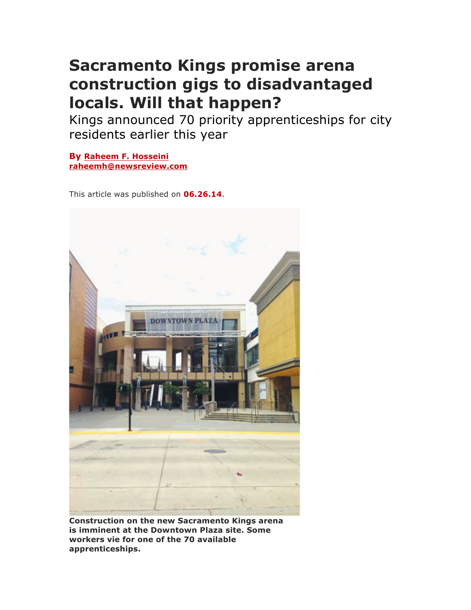## **Sacramento Kings promise arena construction gigs to disadvantaged locals. Will that happen?**

Kings announced 70 priority apprenticeships for city residents earlier this year

**By Raheem F. Hosseini raheemh@newsreview.com**

This article was published on **06.26.14**.



**Construction on the new Sacramento Kings arena is imminent at the Downtown Plaza site. Some workers vie for one of the 70 available apprenticeships.**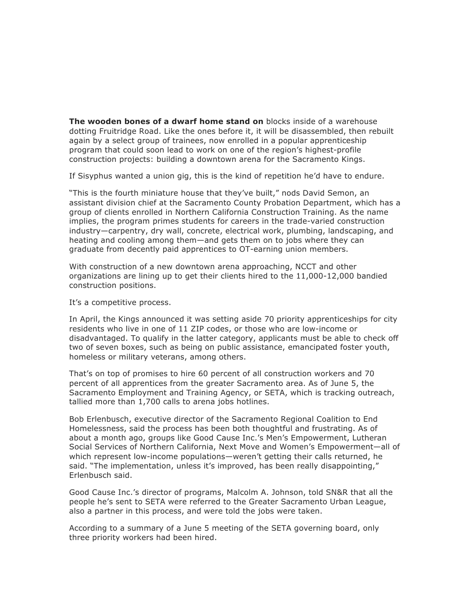**The wooden bones of a dwarf home stand on** blocks inside of a warehouse dotting Fruitridge Road. Like the ones before it, it will be disassembled, then rebuilt again by a select group of trainees, now enrolled in a popular apprenticeship program that could soon lead to work on one of the region's highest-profile construction projects: building a downtown arena for the Sacramento Kings.

If Sisyphus wanted a union gig, this is the kind of repetition he'd have to endure.

"This is the fourth miniature house that they've built," nods David Semon, an assistant division chief at the Sacramento County Probation Department, which has a group of clients enrolled in Northern California Construction Training. As the name implies, the program primes students for careers in the trade-varied construction industry—carpentry, dry wall, concrete, electrical work, plumbing, landscaping, and heating and cooling among them—and gets them on to jobs where they can graduate from decently paid apprentices to OT-earning union members.

With construction of a new downtown arena approaching, NCCT and other organizations are lining up to get their clients hired to the 11,000-12,000 bandied construction positions.

It's a competitive process.

In April, the Kings announced it was setting aside 70 priority apprenticeships for city residents who live in one of 11 ZIP codes, or those who are low-income or disadvantaged. To qualify in the latter category, applicants must be able to check off two of seven boxes, such as being on public assistance, emancipated foster youth, homeless or military veterans, among others.

That's on top of promises to hire 60 percent of all construction workers and 70 percent of all apprentices from the greater Sacramento area. As of June 5, the Sacramento Employment and Training Agency, or SETA, which is tracking outreach, tallied more than 1,700 calls to arena jobs hotlines.

Bob Erlenbusch, executive director of the Sacramento Regional Coalition to End Homelessness, said the process has been both thoughtful and frustrating. As of about a month ago, groups like Good Cause Inc.'s Men's Empowerment, Lutheran Social Services of Northern California, Next Move and Women's Empowerment—all of which represent low-income populations—weren't getting their calls returned, he said. "The implementation, unless it's improved, has been really disappointing," Erlenbusch said.

Good Cause Inc.'s director of programs, Malcolm A. Johnson, told SN&R that all the people he's sent to SETA were referred to the Greater Sacramento Urban League, also a partner in this process, and were told the jobs were taken.

According to a summary of a June 5 meeting of the SETA governing board, only three priority workers had been hired.